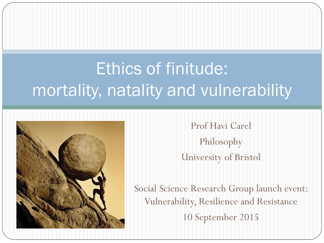# Ethics of finitude: mortality, natality and vulnerability



Prof Havi Carel Philosophy University of Bristol

Social Science Research Group launch event: Vulnerability, Resilience and Resistance 10 September 2015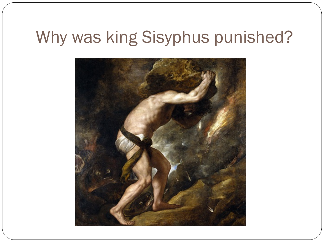## Why was king Sisyphus punished?

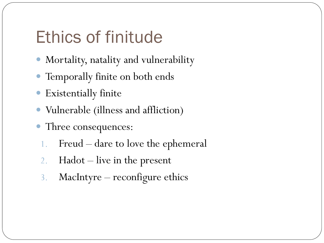## Ethics of finitude

- Mortality, natality and vulnerability
- Temporally finite on both ends
- Existentially finite
- Vulnerable (illness and affliction)
- Three consequences:
	- 1. Freud dare to love the ephemeral
	- 2. Hadot live in the present
	- 3. MacIntyre reconfigure ethics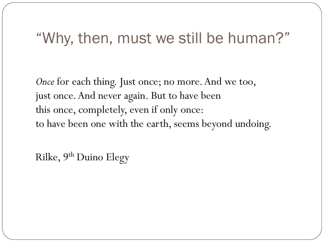#### "Why, then, must we still be human?"

*Once* for each thing. Just once; no more. And we too, just once. And never again. But to have been this once, completely, even if only once: to have been one with the earth, seems beyond undoing.

Rilke, 9th Duino Elegy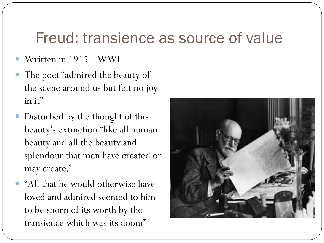#### Freud: transience as source of value

- Written in 1915 –WWI
- The poet "admired the beauty of the scene around us but felt no joy in it"
- Disturbed by the thought of this beauty's extinction "like all human beauty and all the beauty and splendour that men have created or may create."
- "All that he would otherwise have loved and admired seemed to him to be shorn of its worth by the transience which was its doom"

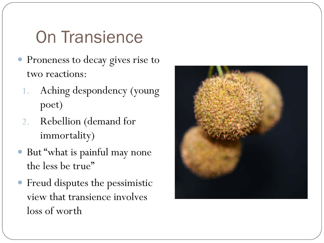# On Transience

- Proneness to decay gives rise to two reactions:
	- 1. Aching despondency (young poet)
	- 2. Rebellion (demand for immortality)
- But "what is painful may none the less be true"
- Freud disputes the pessimistic view that transience involves loss of worth

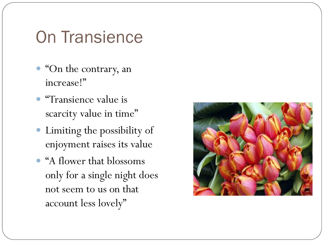### On Transience

- "On the contrary, an increase!"
- "Transience value is scarcity value in time"
- Limiting the possibility of enjoyment raises its value
- "A flower that blossoms only for a single night does not seem to us on that account less lovely"

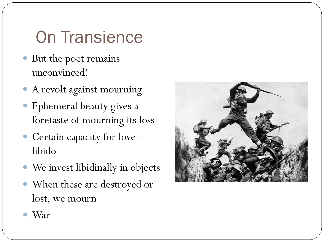# On Transience

- But the poet remains unconvinced!
- A revolt against mourning
- Ephemeral beauty gives a foretaste of mourning its loss
- Certain capacity for love libido
- We invest libidinally in objects
- When these are destroyed or lost, we mourn



War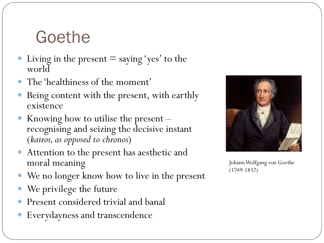### Goethe

- Living in the present  $=$  saying 'yes' to the world
- The 'healthiness of the moment'
- Being content with the present, with earthly existence
- Knowing how to utilise the present –<br>recognising and seizing the decisive instant (*kairos, as opposed to chronos*)
- Attention to the present has aesthetic and moral meaning
- We no longer know how to live in the present
- We privilege the future
- Present considered trivial and banal
- Everydayness and transcendence



Johann Wolfgang von Goethe (1749-1832)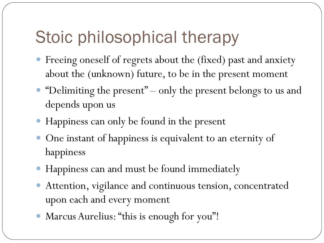# Stoic philosophical therapy

- Freeing oneself of regrets about the (fixed) past and anxiety about the (unknown) future, to be in the present moment
- "Delimiting the present" only the present belongs to us and depends upon us
- Happiness can only be found in the present
- One instant of happiness is equivalent to an eternity of happiness
- Happiness can and must be found immediately
- Attention, vigilance and continuous tension, concentrated upon each and every moment
- Marcus Aurelius: "this is enough for you"!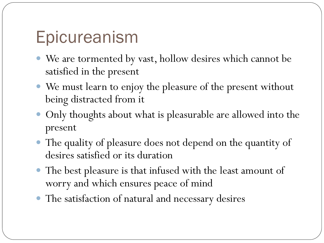## Epicureanism

- We are tormented by vast, hollow desires which cannot be satisfied in the present
- We must learn to enjoy the pleasure of the present without being distracted from it
- Only thoughts about what is pleasurable are allowed into the present
- The quality of pleasure does not depend on the quantity of desires satisfied or its duration
- The best pleasure is that infused with the least amount of worry and which ensures peace of mind
- The satisfaction of natural and necessary desires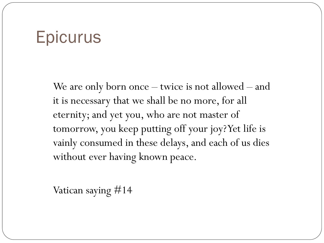#### **Epicurus**

We are only born once – twice is not allowed – and it is necessary that we shall be no more, for all eternity; and yet you, who are not master of tomorrow, you keep putting off your joy? Yet life is vainly consumed in these delays, and each of us dies without ever having known peace.

Vatican saying #14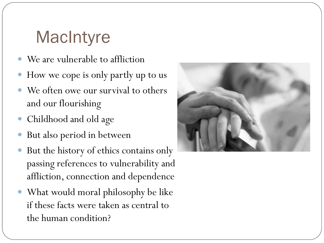# **MacIntyre**

- We are vulnerable to affliction
- How we cope is only partly up to us
- We often owe our survival to others and our flourishing
- Childhood and old age
- But also period in between
- But the history of ethics contains only passing references to vulnerability and affliction, connection and dependence
- What would moral philosophy be like if these facts were taken as central to the human condition?